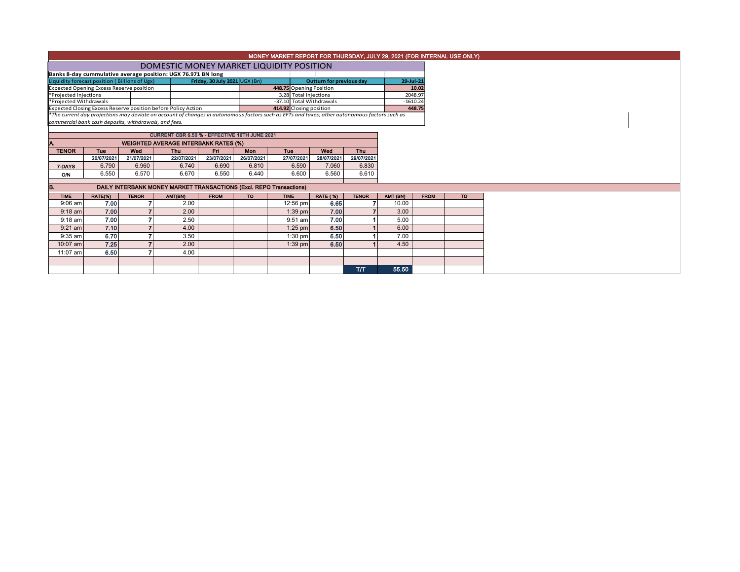|                                                                                                                                               |                                               |              |                                                                     |                  |            | MONEY MARKET REPORT FOR THURSDAY, JULY 29, 2021 (FOR INTERNAL USE ONLY) |                          |                          |            |             |  |  |  |  |
|-----------------------------------------------------------------------------------------------------------------------------------------------|-----------------------------------------------|--------------|---------------------------------------------------------------------|------------------|------------|-------------------------------------------------------------------------|--------------------------|--------------------------|------------|-------------|--|--|--|--|
|                                                                                                                                               |                                               |              | DOMESTIC MONEY MARKET LIQUIDITY POSITION                            |                  |            |                                                                         |                          |                          |            |             |  |  |  |  |
|                                                                                                                                               |                                               |              | Banks 8-day cummulative average position: UGX 76.971 BN long        |                  |            |                                                                         |                          |                          |            |             |  |  |  |  |
| Friday, 30 July 2021 UGX (Bn)<br>Liquidity forecast position (Billions of Ugx)                                                                |                                               |              |                                                                     |                  |            |                                                                         | Outturn for previous day | 29-Jul-21                |            |             |  |  |  |  |
| Expected Opening Excess Reserve position                                                                                                      |                                               |              |                                                                     |                  |            | 448.75 Opening Position                                                 |                          |                          |            | 10.02       |  |  |  |  |
| *Projected Injections                                                                                                                         |                                               |              |                                                                     |                  |            | 3.28 Total Injections                                                   |                          |                          |            | 2048.97     |  |  |  |  |
| *Projected Withdrawals                                                                                                                        |                                               |              |                                                                     |                  |            | -37.10 Total Withdrawals                                                |                          |                          | $-1610.24$ |             |  |  |  |  |
|                                                                                                                                               |                                               |              | Expected Closing Excess Reserve position before Policy Action       |                  |            | 414.92 Closing position                                                 |                          | 448.75                   |            |             |  |  |  |  |
| *The current day projections may deviate on account of changes in autonomous factors such as EFTs and taxes; other autonomous factors such as |                                               |              |                                                                     |                  |            |                                                                         |                          |                          |            |             |  |  |  |  |
| commercial bank cash deposits, withdrawals, and fees.                                                                                         |                                               |              |                                                                     |                  |            |                                                                         |                          |                          |            |             |  |  |  |  |
|                                                                                                                                               | CURRENT CBR 6.50 % - EFFECTIVE 16TH JUNE 2021 |              |                                                                     |                  |            |                                                                         |                          |                          |            |             |  |  |  |  |
| <b>WEIGHTED AVERAGE INTERBANK RATES (%)</b>                                                                                                   |                                               |              |                                                                     |                  |            |                                                                         |                          |                          |            |             |  |  |  |  |
| <b>TENOR</b>                                                                                                                                  | <b>Tue</b>                                    | Wed          | Thu                                                                 | Fri <sub>1</sub> | <b>Mon</b> | <b>Tue</b>                                                              | Wed                      | <b>Thu</b>               |            |             |  |  |  |  |
|                                                                                                                                               | 20/07/2021                                    | 21/07/2021   | 22/07/2021                                                          | 23/07/2021       | 26/07/2021 | 27/07/2021                                                              | 28/07/2021               | 29/07/2021               |            |             |  |  |  |  |
| 7-DAYS                                                                                                                                        | 6.790                                         | 6.960        | 6.740                                                               | 6.690            | 6.810      | 6.590                                                                   | 7.060                    | 6.830                    |            |             |  |  |  |  |
| <b>O/N</b>                                                                                                                                    | 6.550                                         | 6.570        | 6.670                                                               | 6.550            | 6.440      | 6.600                                                                   | 6.560                    | 6.610                    |            |             |  |  |  |  |
|                                                                                                                                               |                                               |              |                                                                     |                  |            |                                                                         |                          |                          |            |             |  |  |  |  |
| в.                                                                                                                                            |                                               |              | DAILY INTERBANK MONEY MARKET TRANSACTIONS (Excl. REPO Transactions) |                  |            |                                                                         |                          |                          |            |             |  |  |  |  |
| <b>TIME</b>                                                                                                                                   | RATE(%)                                       | <b>TENOR</b> | AMT(BN)                                                             | <b>FROM</b>      | TO.        | <b>TIME</b>                                                             | <b>RATE (%)</b>          | <b>TENOR</b>             | AMT (BN)   | <b>FROM</b> |  |  |  |  |
| $9:06$ am                                                                                                                                     | 7.00                                          |              | 2.00                                                                |                  |            | 12:56 pm                                                                | 6.65                     | $\overline{7}$           | 10.00      |             |  |  |  |  |
| $9:18$ am                                                                                                                                     | 7.00                                          |              | 2.00                                                                |                  |            | $1:39$ pm                                                               | 7.00                     | $\overline{\phantom{a}}$ | 3.00       |             |  |  |  |  |
| $9:18$ am                                                                                                                                     | 7.00                                          |              | 2.50                                                                |                  |            | 9:51 am                                                                 | 7.00                     |                          | 5.00       |             |  |  |  |  |
| $9:21$ am                                                                                                                                     | 7.10                                          |              | 4.00                                                                |                  |            | 1:25 pm                                                                 | 6.50                     |                          | 6.00       |             |  |  |  |  |
| 9:35 am                                                                                                                                       | 6.70                                          |              | 3.50                                                                |                  |            | $1:30$ pm                                                               | 6.50                     |                          | 7.00       |             |  |  |  |  |
| 10:07 am                                                                                                                                      | 7.25                                          |              | 2.00                                                                |                  |            | $1:39$ pm                                                               | 6.50                     |                          | 4.50       |             |  |  |  |  |
| 11:07 am                                                                                                                                      | 6.50                                          |              | 4.00                                                                |                  |            |                                                                         |                          |                          |            |             |  |  |  |  |
|                                                                                                                                               |                                               |              |                                                                     |                  |            |                                                                         |                          |                          |            |             |  |  |  |  |
|                                                                                                                                               |                                               |              |                                                                     |                  |            |                                                                         |                          | T/T                      | 55.50      |             |  |  |  |  |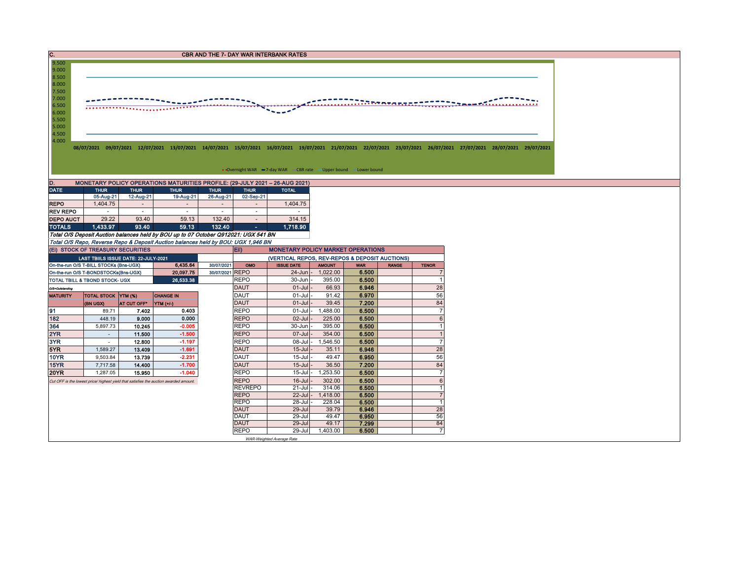